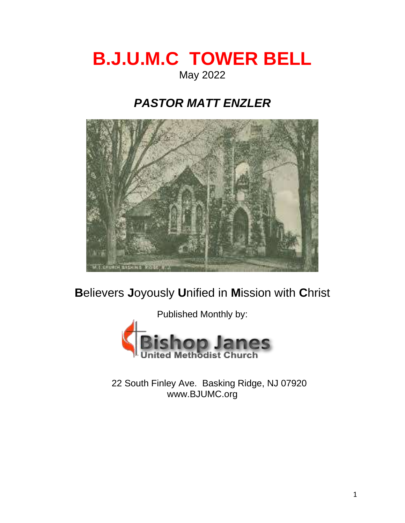# **B.J.U.M.C TOWER BELL** May 2022

## *PASTOR MATT ENZLER*



**B**elievers **J**oyously **U**nified in **M**ission with **C**hrist

Published Monthly by: odist C

22 South Finley Ave. Basking Ridge, NJ 07920 www.BJUMC.org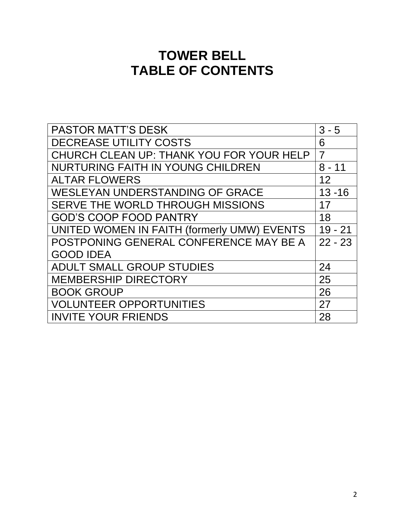## **TOWER BELL TABLE OF CONTENTS**

| <b>PASTOR MATT'S DESK</b>                   | $3 - 5$        |
|---------------------------------------------|----------------|
| <b>DECREASE UTILITY COSTS</b>               |                |
| CHURCH CLEAN UP: THANK YOU FOR YOUR HELP    | $\overline{7}$ |
| <b>NURTURING FAITH IN YOUNG CHILDREN</b>    | $8 - 11$       |
| <b>ALTAR FLOWERS</b>                        | 12             |
| <b>WESLEYAN UNDERSTANDING OF GRACE</b>      | $13 - 16$      |
| SERVE THE WORLD THROUGH MISSIONS            | 17             |
| <b>GOD'S COOP FOOD PANTRY</b>               | 18             |
| UNITED WOMEN IN FAITH (formerly UMW) EVENTS | $19 - 21$      |
| POSTPONING GENERAL CONFERENCE MAY BE A      | $22 - 23$      |
| <b>GOOD IDEA</b>                            |                |
| <b>ADULT SMALL GROUP STUDIES</b>            | 24             |
| <b>MEMBERSHIP DIRECTORY</b>                 | 25             |
| <b>BOOK GROUP</b>                           | 26             |
| <b>VOLUNTEER OPPORTUNITIES</b>              | 27             |
| <b>INVITE YOUR FRIENDS</b>                  | 28             |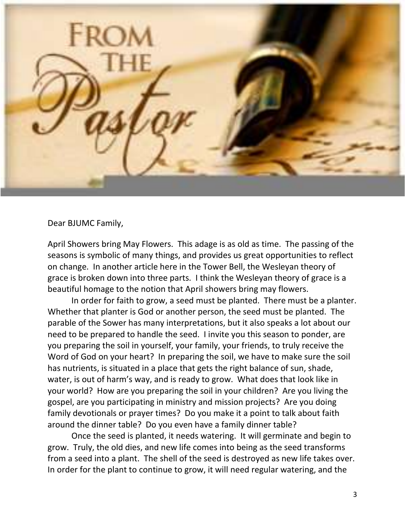

Dear BJUMC Family,

April Showers bring May Flowers. This adage is as old as time. The passing of the seasons is symbolic of many things, and provides us great opportunities to reflect on change. In another article here in the Tower Bell, the Wesleyan theory of grace is broken down into three parts. I think the Wesleyan theory of grace is a beautiful homage to the notion that April showers bring may flowers.

In order for faith to grow, a seed must be planted. There must be a planter. Whether that planter is God or another person, the seed must be planted. The parable of the Sower has many interpretations, but it also speaks a lot about our need to be prepared to handle the seed. I invite you this season to ponder, are you preparing the soil in yourself, your family, your friends, to truly receive the Word of God on your heart? In preparing the soil, we have to make sure the soil has nutrients, is situated in a place that gets the right balance of sun, shade, water, is out of harm's way, and is ready to grow. What does that look like in your world? How are you preparing the soil in your children? Are you living the gospel, are you participating in ministry and mission projects? Are you doing family devotionals or prayer times? Do you make it a point to talk about faith around the dinner table? Do you even have a family dinner table?

Once the seed is planted, it needs watering. It will germinate and begin to grow. Truly, the old dies, and new life comes into being as the seed transforms from a seed into a plant. The shell of the seed is destroyed as new life takes over. In order for the plant to continue to grow, it will need regular watering, and the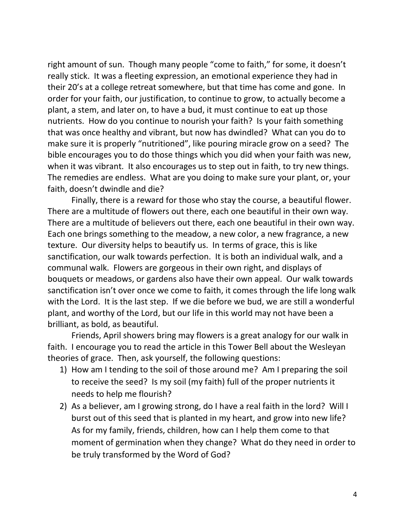right amount of sun. Though many people "come to faith," for some, it doesn't really stick. It was a fleeting expression, an emotional experience they had in their 20's at a college retreat somewhere, but that time has come and gone. In order for your faith, our justification, to continue to grow, to actually become a plant, a stem, and later on, to have a bud, it must continue to eat up those nutrients. How do you continue to nourish your faith? Is your faith something that was once healthy and vibrant, but now has dwindled? What can you do to make sure it is properly "nutritioned", like pouring miracle grow on a seed? The bible encourages you to do those things which you did when your faith was new, when it was vibrant. It also encourages us to step out in faith, to try new things. The remedies are endless. What are you doing to make sure your plant, or, your faith, doesn't dwindle and die?

Finally, there is a reward for those who stay the course, a beautiful flower. There are a multitude of flowers out there, each one beautiful in their own way. There are a multitude of believers out there, each one beautiful in their own way. Each one brings something to the meadow, a new color, a new fragrance, a new texture. Our diversity helps to beautify us. In terms of grace, this is like sanctification, our walk towards perfection. It is both an individual walk, and a communal walk. Flowers are gorgeous in their own right, and displays of bouquets or meadows, or gardens also have their own appeal. Our walk towards sanctification isn't over once we come to faith, it comes through the life long walk with the Lord. It is the last step. If we die before we bud, we are still a wonderful plant, and worthy of the Lord, but our life in this world may not have been a brilliant, as bold, as beautiful.

Friends, April showers bring may flowers is a great analogy for our walk in faith. I encourage you to read the article in this Tower Bell about the Wesleyan theories of grace. Then, ask yourself, the following questions:

- 1) How am I tending to the soil of those around me? Am I preparing the soil to receive the seed? Is my soil (my faith) full of the proper nutrients it needs to help me flourish?
- 2) As a believer, am I growing strong, do I have a real faith in the lord? Will I burst out of this seed that is planted in my heart, and grow into new life? As for my family, friends, children, how can I help them come to that moment of germination when they change? What do they need in order to be truly transformed by the Word of God?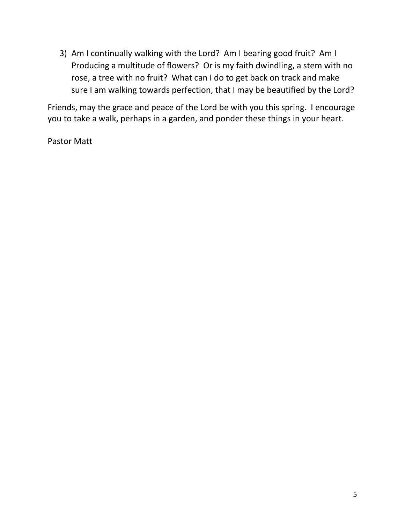3) Am I continually walking with the Lord? Am I bearing good fruit? Am I Producing a multitude of flowers? Or is my faith dwindling, a stem with no rose, a tree with no fruit? What can I do to get back on track and make sure I am walking towards perfection, that I may be beautified by the Lord?

Friends, may the grace and peace of the Lord be with you this spring. I encourage you to take a walk, perhaps in a garden, and ponder these things in your heart.

Pastor Matt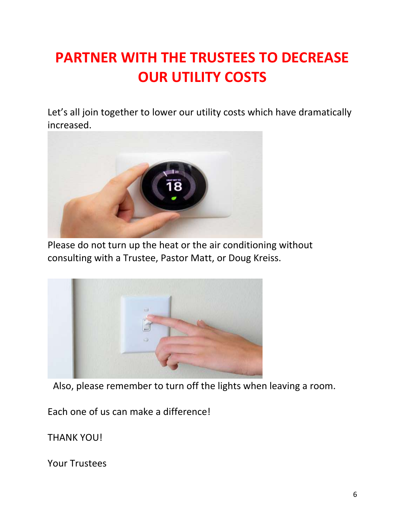# **PARTNER WITH THE TRUSTEES TO DECREASE OUR UTILITY COSTS**

Let's all join together to lower our utility costs which have dramatically increased.



Please do not turn up the heat or the air conditioning without consulting with a Trustee, Pastor Matt, or Doug Kreiss.



Also, please remember to turn off the lights when leaving a room.

Each one of us can make a difference!

THANK YOU!

Your Trustees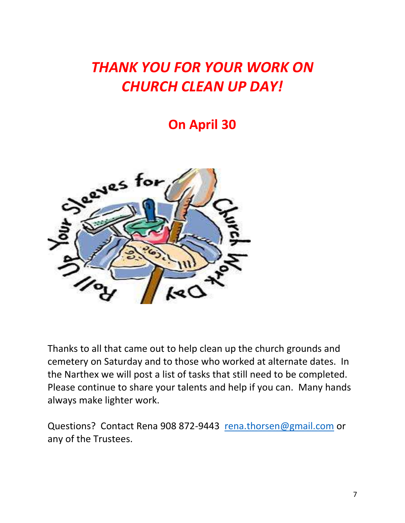# *THANK YOU FOR YOUR WORK ON CHURCH CLEAN UP DAY!*

## **On April 30**



Thanks to all that came out to help clean up the church grounds and cemetery on Saturday and to those who worked at alternate dates. In the Narthex we will post a list of tasks that still need to be completed. Please continue to share your talents and help if you can. Many hands always make lighter work.

Questions? Contact Rena 908 872-9443 [rena.thorsen@gmail.com](mailto:rena.thorsen@gmail.com) or any of the Trustees.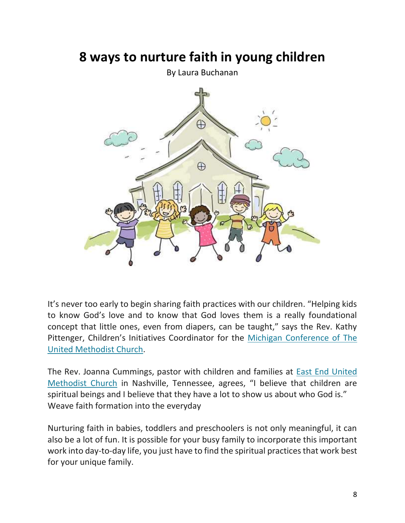## **8 ways to nurture faith in young children**

By Laura Buchanan



It's never too early to begin sharing faith practices with our children. "Helping kids to know God's love and to know that God loves them is a really foundational concept that little ones, even from diapers, can be taught," says the Rev. Kathy Pittenger, Children's Initiatives Coordinator for the [Michigan Conference of The](https://michiganumc.org/)  [United Methodist Church.](https://michiganumc.org/)

The Rev. Joanna Cummings, pastor with children and families at [East End United](https://eastendumc.org/)  [Methodist Church](https://eastendumc.org/) in Nashville, Tennessee, agrees, "I believe that children are spiritual beings and I believe that they have a lot to show us about who God is." Weave faith formation into the everyday

Nurturing faith in babies, toddlers and preschoolers is not only meaningful, it can also be a lot of fun. It is possible for your busy family to incorporate this important work into day-to-day life, you just have to find the spiritual practices that work best for your unique family.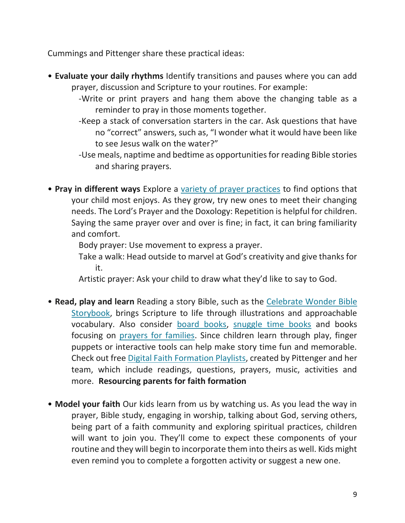Cummings and Pittenger share these practical ideas:

- **Evaluate your daily rhythms** Identify transitions and pauses where you can add prayer, discussion and Scripture to your routines. For example:
	- -Write or print prayers and hang them above the changing table as a reminder to pray in those moments together.
	- -Keep a stack of conversation starters in the car. Ask questions that have no "correct" answers, such as, "I wonder what it would have been like to see Jesus walk on the water?"
	- -Use meals, naptime and bedtime as opportunities for reading Bible stories and sharing prayers.
- **Pray in different ways** Explore a [variety of prayer practices](https://www.umc.org/en/content/5-ways-to-pray-with-children) to find options that your child most enjoys. As they grow, try new ones to meet their changing needs. The Lord's Prayer and the Doxology: Repetition is helpful for children. Saying the same prayer over and over is fine; in fact, it can bring familiarity and comfort.

Body prayer: Use movement to express a prayer.

Take a walk: Head outside to marvel at God's creativity and give thanks for it.

Artistic prayer: Ask your child to draw what they'd like to say to God.

- **Read, play and learn** Reading a story Bible, such as the [Celebrate Wonder Bible](https://www.cokesbury.com/9781501897252-Celebrate-Wonder-Bible-Storybook)  [Storybook,](https://www.cokesbury.com/9781501897252-Celebrate-Wonder-Bible-Storybook) brings Scripture to life through illustrations and approachable vocabulary. Also consider [board books,](https://www.cokesbury.com/search?q=board+books&pagenumber=1) [snuggle time books](https://www.cokesbury.com/search?q=glenys+nellist&pagenumber=1) and books focusing on [prayers for families.](https://www.cokesbury.com/Prayers-for-Faithful-Families?refq=traci%20smith) Since children learn through play, finger puppets or interactive tools can help make story time fun and memorable. Check out free [Digital Faith Formation Playlists,](https://michiganumc.org/playlists/) created by Pittenger and her team, which include readings, questions, prayers, music, activities and more. **Resourcing parents for faith formation**
- **Model your faith** Our kids learn from us by watching us. As you lead the way in prayer, Bible study, engaging in worship, talking about God, serving others, being part of a faith community and exploring spiritual practices, children will want to join you. They'll come to expect these components of your routine and they will begin to incorporate them into theirs as well. Kids might even remind you to complete a forgotten activity or suggest a new one.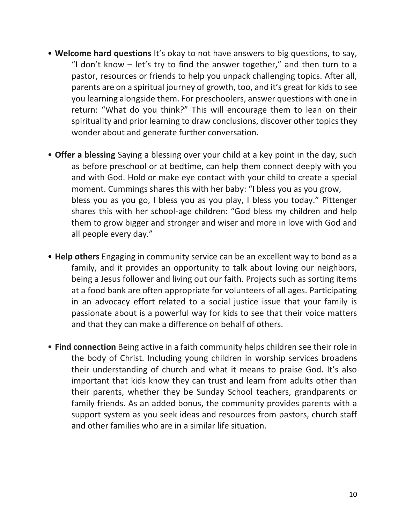- **Welcome hard questions** It's okay to not have answers to big questions, to say, "I don't know  $-$  let's try to find the answer together," and then turn to a pastor, resources or friends to help you unpack challenging topics. After all, parents are on a spiritual journey of growth, too, and it's great for kids to see you learning alongside them. For preschoolers, answer questions with one in return: "What do you think?" This will encourage them to lean on their spirituality and prior learning to draw conclusions, discover other topics they wonder about and generate further conversation.
- **Offer a blessing** Saying a blessing over your child at a key point in the day, such as before preschool or at bedtime, can help them connect deeply with you and with God. Hold or make eye contact with your child to create a special moment. Cummings shares this with her baby: "I bless you as you grow, bless you as you go, I bless you as you play, I bless you today." Pittenger shares this with her school-age children: "God bless my children and help them to grow bigger and stronger and wiser and more in love with God and all people every day."
- **Help others** Engaging in community service can be an excellent way to bond as a family, and it provides an opportunity to talk about loving our neighbors, being a Jesus follower and living out our faith. Projects such as sorting items at a food bank are often appropriate for volunteers of all ages. Participating in an advocacy effort related to a social justice issue that your family is passionate about is a powerful way for kids to see that their voice matters and that they can make a difference on behalf of others.
- **Find connection** Being active in a faith community helps children see their role in the body of Christ. Including young children in worship services broadens their understanding of church and what it means to praise God. It's also important that kids know they can trust and learn from adults other than their parents, whether they be Sunday School teachers, grandparents or family friends. As an added bonus, the community provides parents with a support system as you seek ideas and resources from pastors, church staff and other families who are in a similar life situation.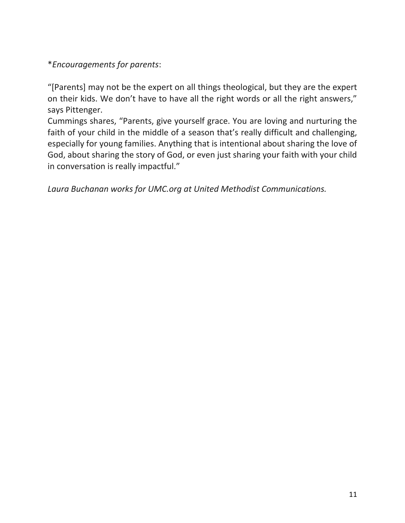\**Encouragements for parents*:

"[Parents] may not be the expert on all things theological, but they are the expert on their kids. We don't have to have all the right words or all the right answers," says Pittenger.

Cummings shares, "Parents, give yourself grace. You are loving and nurturing the faith of your child in the middle of a season that's really difficult and challenging, especially for young families. Anything that is intentional about sharing the love of God, about sharing the story of God, or even just sharing your faith with your child in conversation is really impactful."

*Laura Buchanan works for UMC.org at United Methodist Communications.*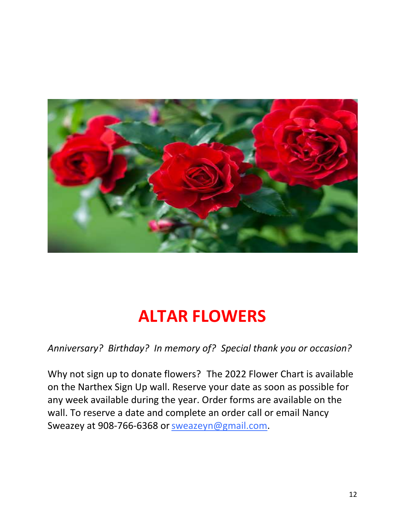

# **ALTAR FLOWERS**

*Anniversary? Birthday? In memory of? Special thank you or occasion?*

Why not sign up to donate flowers? The 2022 Flower Chart is available on the Narthex Sign Up wall. Reserve your date as soon as possible for any week available during the year. Order forms are available on the wall. To reserve a date and complete an order call or email Nancy Sweazey at 908-766-6368 or [sweazeyn@gmail.com.](mailto:sweazeyn@gmail.com)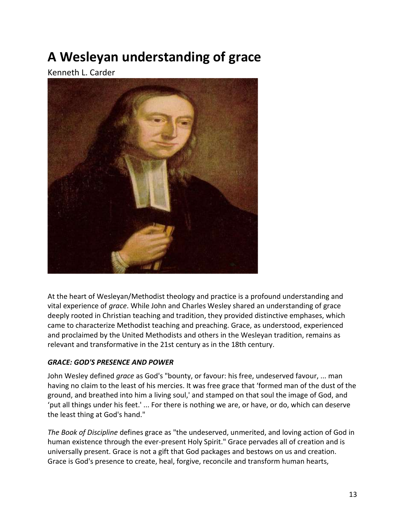# **A Wesleyan understanding of grace**

Kenneth L. Carder



At the heart of Wesleyan/Methodist theology and practice is a profound understanding and vital experience of *grace*. While John and Charles Wesley shared an understanding of grace deeply rooted in Christian teaching and tradition, they provided distinctive emphases, which came to characterize Methodist teaching and preaching. Grace, as understood, experienced and proclaimed by the United Methodists and others in the Wesleyan tradition, remains as relevant and transformative in the 21st century as in the 18th century.

#### *GRACE: GOD'S PRESENCE AND POWER*

John Wesley defined *grace* as God's "bounty, or favour: his free, undeserved favour, ... man having no claim to the least of his mercies. It was free grace that 'formed man of the dust of the ground, and breathed into him a living soul,' and stamped on that soul the image of God, and 'put all things under his feet.' ... For there is nothing we are, or have, or do, which can deserve the least thing at God's hand."

*The Book of Discipline* defines grace as "the undeserved, unmerited, and loving action of God in human existence through the ever-present Holy Spirit." Grace pervades all of creation and is universally present. Grace is not a gift that God packages and bestows on us and creation. Grace is God's presence to create, heal, forgive, reconcile and transform human hearts,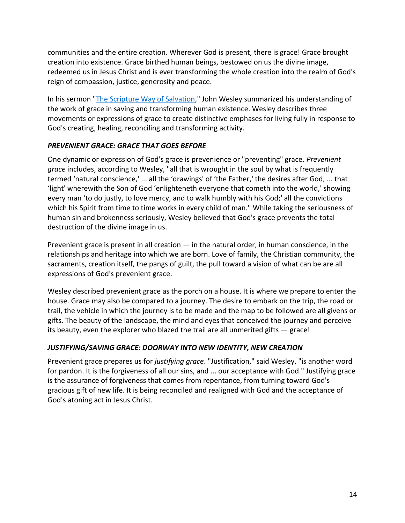communities and the entire creation. Wherever God is present, there is grace! Grace brought creation into existence. Grace birthed human beings, bestowed on us the divine image, redeemed us in Jesus Christ and is ever transforming the whole creation into the realm of God's reign of compassion, justice, generosity and peace.

In his sermon ["The Scripture Way of Salvation,](http://wesley.nnu.edu/john-wesley/the-sermons-of-john-wesley-1872-edition/sermon-43-the-scripture-way-of-salvation/)" John Wesley summarized his understanding of the work of grace in saving and transforming human existence. Wesley describes three movements or expressions of grace to create distinctive emphases for living fully in response to God's creating, healing, reconciling and transforming activity.

#### *PREVENIENT GRACE: GRACE THAT GOES BEFORE*

One dynamic or expression of God's grace is prevenience or "preventing" grace. *Prevenient grace* includes, according to Wesley, "all that is wrought in the soul by what is frequently termed 'natural conscience,' ... all the 'drawings' of 'the Father,' the desires after God, ... that 'light' wherewith the Son of God 'enlighteneth everyone that cometh into the world,' showing every man 'to do justly, to love mercy, and to walk humbly with his God;' all the convictions which his Spirit from time to time works in every child of man." While taking the seriousness of human sin and brokenness seriously, Wesley believed that God's grace prevents the total destruction of the divine image in us.

Prevenient grace is present in all creation  $-$  in the natural order, in human conscience, in the relationships and heritage into which we are born. Love of family, the Christian community, the sacraments, creation itself, the pangs of guilt, the pull toward a vision of what can be are all expressions of God's prevenient grace.

Wesley described prevenient grace as the porch on a house. It is where we prepare to enter the house. Grace may also be compared to a journey. The desire to embark on the trip, the road or trail, the vehicle in which the journey is to be made and the map to be followed are all givens or gifts. The beauty of the landscape, the mind and eyes that conceived the journey and perceive its beauty, even the explorer who blazed the trail are all unmerited gifts — grace!

### *JUSTIFYING/SAVING GRACE: DOORWAY INTO NEW IDENTITY, NEW CREATION*

Prevenient grace prepares us for *justifying grace*. "Justification," said Wesley, "is another word for pardon. It is the forgiveness of all our sins, and ... our acceptance with God." Justifying grace is the assurance of forgiveness that comes from repentance, from turning toward God's gracious gift of new life. It is being reconciled and realigned with God and the acceptance of God's atoning act in Jesus Christ.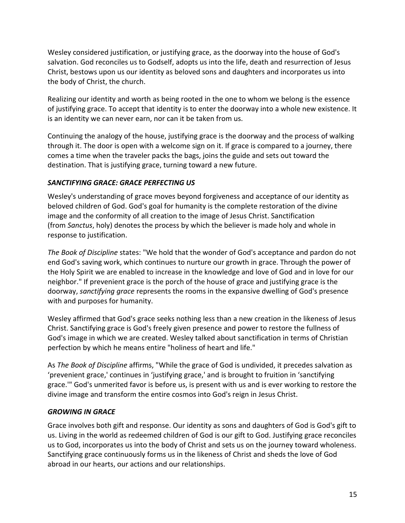Wesley considered justification, or justifying grace, as the doorway into the house of God's salvation. God reconciles us to Godself, adopts us into the life, death and resurrection of Jesus Christ, bestows upon us our identity as beloved sons and daughters and incorporates us into the body of Christ, the church.

Realizing our identity and worth as being rooted in the one to whom we belong is the essence of justifying grace. To accept that identity is to enter the doorway into a whole new existence. It is an identity we can never earn, nor can it be taken from us.

Continuing the analogy of the house, justifying grace is the doorway and the process of walking through it. The door is open with a welcome sign on it. If grace is compared to a journey, there comes a time when the traveler packs the bags, joins the guide and sets out toward the destination. That is justifying grace, turning toward a new future.

#### *SANCTIFYING GRACE: GRACE PERFECTING US*

Wesley's understanding of grace moves beyond forgiveness and acceptance of our identity as beloved children of God. God's goal for humanity is the complete restoration of the divine image and the conformity of all creation to the image of Jesus Christ. Sanctification (from *Sanctus*, holy) denotes the process by which the believer is made holy and whole in response to justification.

*The Book of Discipline* states: "We hold that the wonder of God's acceptance and pardon do not end God's saving work, which continues to nurture our growth in grace. Through the power of the Holy Spirit we are enabled to increase in the knowledge and love of God and in love for our neighbor." If prevenient grace is the porch of the house of grace and justifying grace is the doorway, *sanctifying grace* represents the rooms in the expansive dwelling of God's presence with and purposes for humanity.

Wesley affirmed that God's grace seeks nothing less than a new creation in the likeness of Jesus Christ. Sanctifying grace is God's freely given presence and power to restore the fullness of God's image in which we are created. Wesley talked about sanctification in terms of Christian perfection by which he means entire "holiness of heart and life."

As *The Book of Discipline* affirms, "While the grace of God is undivided, it precedes salvation as 'prevenient grace,' continues in 'justifying grace,' and is brought to fruition in 'sanctifying grace.'" God's unmerited favor is before us, is present with us and is ever working to restore the divine image and transform the entire cosmos into God's reign in Jesus Christ.

### *GROWING IN GRACE*

Grace involves both gift and response. Our identity as sons and daughters of God is God's gift to us. Living in the world as redeemed children of God is our gift to God. Justifying grace reconciles us to God, incorporates us into the body of Christ and sets us on the journey toward wholeness. Sanctifying grace continuously forms us in the likeness of Christ and sheds the love of God abroad in our hearts, our actions and our relationships.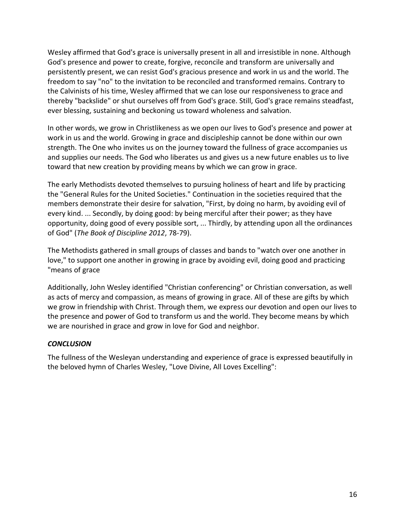Wesley affirmed that God's grace is universally present in all and irresistible in none. Although God's presence and power to create, forgive, reconcile and transform are universally and persistently present, we can resist God's gracious presence and work in us and the world. The freedom to say "no" to the invitation to be reconciled and transformed remains. Contrary to the Calvinists of his time, Wesley affirmed that we can lose our responsiveness to grace and thereby "backslide" or shut ourselves off from God's grace. Still, God's grace remains steadfast, ever blessing, sustaining and beckoning us toward wholeness and salvation.

In other words, we grow in Christlikeness as we open our lives to God's presence and power at work in us and the world. Growing in grace and discipleship cannot be done within our own strength. The One who invites us on the journey toward the fullness of grace accompanies us and supplies our needs. The God who liberates us and gives us a new future enables us to live toward that new creation by providing means by which we can grow in grace.

The early Methodists devoted themselves to pursuing holiness of heart and life by practicing the "General Rules for the United Societies." Continuation in the societies required that the members demonstrate their desire for salvation, "First, by doing no harm, by avoiding evil of every kind. ... Secondly, by doing good: by being merciful after their power; as they have opportunity, doing good of every possible sort, ... Thirdly, by attending upon all the ordinances of God" (*The Book of Discipline 2012*, 78-79).

The Methodists gathered in small groups of classes and bands to "watch over one another in love," to support one another in growing in grace by avoiding evil, doing good and practicing "means of grace

Additionally, John Wesley identified "Christian conferencing" or Christian conversation, as well as acts of mercy and compassion, as means of growing in grace. All of these are gifts by which we grow in friendship with Christ. Through them, we express our devotion and open our lives to the presence and power of God to transform us and the world. They become means by which we are nourished in grace and grow in love for God and neighbor.

#### *CONCLUSION*

The fullness of the Wesleyan understanding and experience of grace is expressed beautifully in the beloved hymn of Charles Wesley, "Love Divine, All Loves Excelling":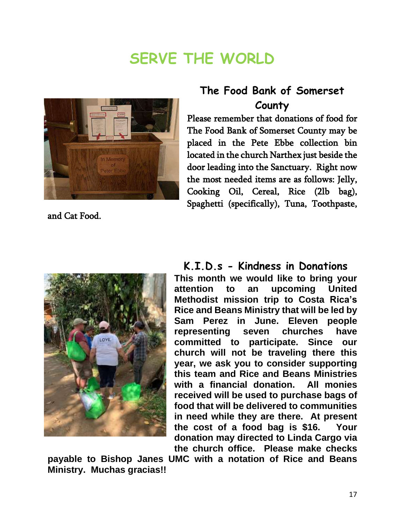# **SERVE THE WORLD**



and Cat Food.

## **The Food Bank of Somerset County**

Please remember that donations of food for The Food Bank of Somerset County may be placed in the Pete Ebbe collection bin located in the church Narthex just beside the door leading into the Sanctuary. Right now the most needed items are as follows: Jelly, Cooking Oil, Cereal, Rice (2lb bag), Spaghetti (specifically), Tuna, Toothpaste,



## **K.I.D.s - Kindness in Donations**

**This month we would like to bring your attention to an upcoming United Methodist mission trip to Costa Rica's Rice and Beans Ministry that will be led by Sam Perez in June. Eleven people representing seven churches have committed to participate. Since our church will not be traveling there this year, we ask you to consider supporting this team and Rice and Beans Ministries with a financial donation. All monies received will be used to purchase bags of food that will be delivered to communities in need while they are there. At present the cost of a food bag is \$16. Your donation may directed to Linda Cargo via the church office. Please make checks**

**payable to Bishop Janes UMC with a notation of Rice and Beans Ministry. Muchas gracias!!**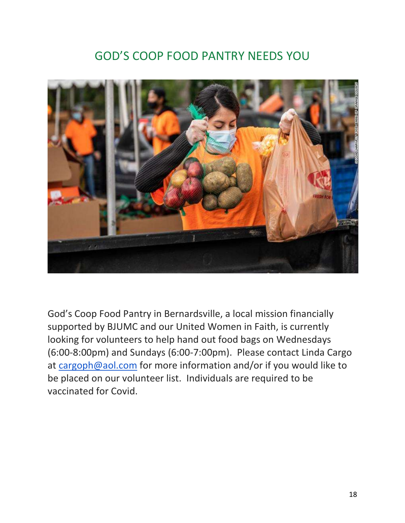## GOD'S COOP FOOD PANTRY NEEDS YOU



God's Coop Food Pantry in Bernardsville, a local mission financially supported by BJUMC and our United Women in Faith, is currently looking for volunteers to help hand out food bags on Wednesdays (6:00-8:00pm) and Sundays (6:00-7:00pm). Please contact Linda Cargo at [cargoph@aol.com](mailto:cargoph@aol.com) for more information and/or if you would like to be placed on our volunteer list. Individuals are required to be vaccinated for Covid.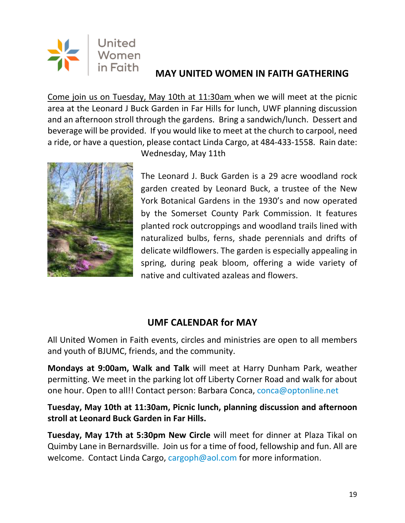

## **MAY UNITED WOMEN IN FAITH GATHERING**

Come join us on Tuesday, May 10th at 11:30am when we will meet at the picnic area at the Leonard J Buck Garden in Far Hills for lunch, UWF planning discussion and an afternoon stroll through the gardens. Bring a sandwich/lunch. Dessert and beverage will be provided. If you would like to meet at the church to carpool, need a ride, or have a question, please contact Linda Cargo, at 484-433-1558. Rain date:



Wednesday, May 11th

The Leonard J. Buck Garden is a 29 acre woodland rock garden created by Leonard Buck, a trustee of the New York Botanical Gardens in the 1930's and now operated by the Somerset County Park Commission. It features planted rock outcroppings and woodland trails lined with naturalized bulbs, ferns, shade perennials and drifts of delicate wildflowers. The garden is especially appealing in spring, during peak bloom, offering a wide variety of native and cultivated azaleas and flowers.

## **UMF CALENDAR for MAY**

All United Women in Faith events, circles and ministries are open to all members and youth of BJUMC, friends, and the community.

**Mondays at 9:00am, Walk and Talk** will meet at Harry Dunham Park, weather permitting. We meet in the parking lot off Liberty Corner Road and walk for about one hour. Open to all!! Contact person: Barbara Conca, [conca@optonline.net](mailto:conca@optonline.net)

**Tuesday, May 10th at 11:30am, Picnic lunch, planning discussion and afternoon stroll at Leonard Buck Garden in Far Hills.**

**Tuesday, May 17th at 5:30pm New Circle** will meet for dinner at Plaza Tikal on Quimby Lane in Bernardsville. Join us for a time of food, fellowship and fun. All are welcome. Contact Linda Cargo, [cargoph@aol.com](mailto:cargoph@aol.com) for more information.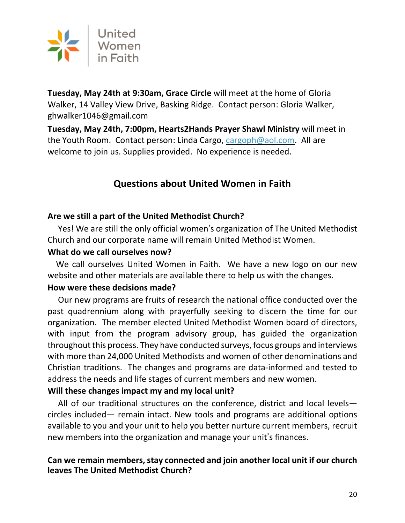

**Tuesday, May 24th at 9:30am, Grace Circle** will meet at the home of Gloria Walker, 14 Valley View Drive, Basking Ridge. Contact person: Gloria Walker, [ghwalker1046@gmail.com](mailto:ghwalker1046@gmail.com)

**Tuesday, May 24th, 7:00pm, Hearts2Hands Prayer Shawl Ministry** will meet in the Youth Room. Contact person: Linda Cargo, [cargoph@aol.com.](mailto:cargoph@aol.com) All are welcome to join us. Supplies provided. No experience is needed.

## **Questions about United Women in Faith**

## **Are we still a part of the United Methodist Church?**

 Yes! We are still the only official women's organization of The United Methodist Church and our corporate name will remain United Methodist Women.

### **What do we call ourselves now?**

We call ourselves United Women in Faith. We have a new logo on our new website and other materials are available there to help us with the changes.

## **How were these decisions made?**

 Our new programs are fruits of research the national office conducted over the past quadrennium along with prayerfully seeking to discern the time for our organization. The member elected United Methodist Women board of directors, with input from the program advisory group, has guided the organization throughout this process. They have conducted surveys, focus groups and interviews with more than 24,000 United Methodists and women of other denominations and Christian traditions. The changes and programs are data-informed and tested to address the needs and life stages of current members and new women.

## **Will these changes impact my and my local unit?**

 All of our traditional structures on the conference, district and local levels circles included— remain intact. New tools and programs are additional options available to you and your unit to help you better nurture current members, recruit new members into the organization and manage your unit's finances.

## **Can** we remain members, stay connected and join another local unit if our church **leaves The United Methodist Church?**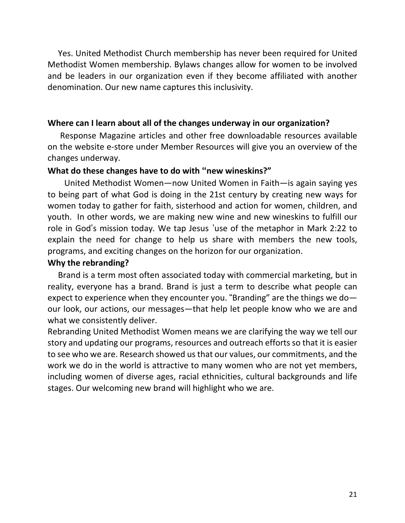Yes. United Methodist Church membership has never been required for United Methodist Women membership. Bylaws changes allow for women to be involved and be leaders in our organization even if they become affiliated with another denomination. Our new name captures this inclusivity.

### **Where can I learn about all of the changes underway in our organization?**

Response Magazine articles and other free downloadable resources available on the website e-store under Member Resources will give you an overview of the changes underway.

#### **What do these changes have to do with "new wineskins?"**

 United Methodist Women—now United Women in Faith—is again saying yes to being part of what God is doing in the 21st century by creating new ways for women today to gather for faith, sisterhood and action for women, children, and youth. In other words, we are making new wine and new wineskins to fulfill our role in God's mission today. We tap Jesus 'use of the metaphor in Mark 2:22 to explain the need for change to help us share with members the new tools, programs, and exciting changes on the horizon for our organization.

#### **Why the rebranding?**

 Brand is a term most often associated today with commercial marketing, but in reality, everyone has a brand. Brand is just a term to describe what people can expect to experience when they encounter you. "Branding" are the things we do our look, our actions, our messages—that help let people know who we are and what we consistently deliver.

Rebranding United Methodist Women means we are clarifying the way we tell our story and updating our programs, resources and outreach efforts so that it is easier to see who we are. Research showed usthat our values, our commitments, and the work we do in the world is attractive to many women who are not yet members, including women of diverse ages, racial ethnicities, cultural backgrounds and life stages. Our welcoming new brand will highlight who we are.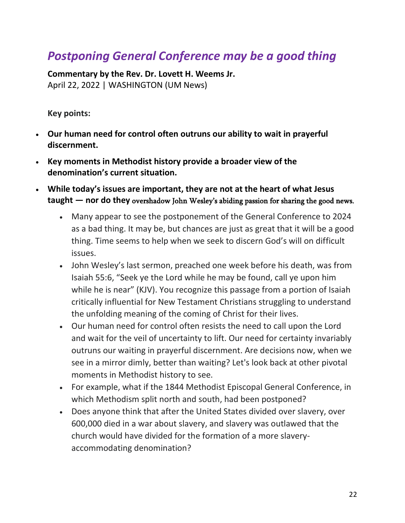## *Postponing General Conference may be a good thing*

**Commentary by the Rev. Dr. Lovett H. Weems Jr.** April 22, 2022 | WASHINGTON (UM News)

**Key points:**

- **Our human need for control often outruns our ability to wait in prayerful discernment.**
- **Key moments in Methodist history provide a broader view of the denomination's current situation.**
- **While today's issues are important, they are not at the heart of what Jesus taught — nor do they** overshadow John Wesley's abiding passion for sharing the good news.
	- Many appear to see the postponement of the General Conference to 2024 as a bad thing. It may be, but chances are just as great that it will be a good thing. Time seems to help when we seek to discern God's will on difficult issues.
	- John Wesley's last sermon, preached one week before his death, was from Isaiah 55:6, "Seek ye the Lord while he may be found, call ye upon him while he is near" (KJV). You recognize this passage from a portion of Isaiah critically influential for New Testament Christians struggling to understand the unfolding meaning of the coming of Christ for their lives.
	- Our human need for control often resists the need to call upon the Lord and wait for the veil of uncertainty to lift. Our need for certainty invariably outruns our waiting in prayerful discernment. Are decisions now, when we see in a mirror dimly, better than waiting? Let's look back at other pivotal moments in Methodist history to see.
	- For example, what if the 1844 Methodist Episcopal General Conference, in which Methodism split north and south, had been postponed?
	- Does anyone think that after the United States divided over slavery, over 600,000 died in a war about slavery, and slavery was outlawed that the church would have divided for the formation of a more slaveryaccommodating denomination?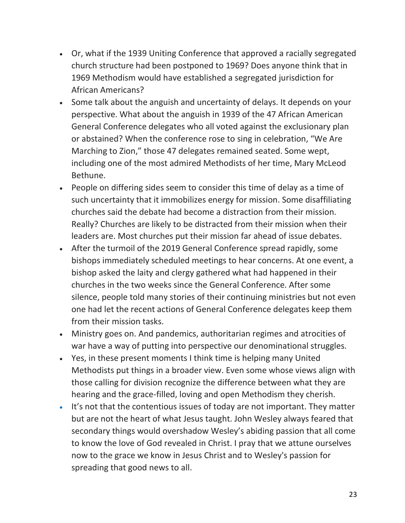- Or, what if the 1939 Uniting Conference that approved a racially segregated church structure had been postponed to 1969? Does anyone think that in 1969 Methodism would have established a segregated jurisdiction for African Americans?
- Some talk about the anguish and uncertainty of delays. It depends on your perspective. What about the anguish in 1939 of the 47 African American General Conference delegates who all voted against the exclusionary plan or abstained? When the conference rose to sing in celebration, "We Are Marching to Zion," those 47 delegates remained seated. Some wept, including one of the most admired Methodists of her time, Mary McLeod Bethune.
- People on differing sides seem to consider this time of delay as a time of such uncertainty that it immobilizes energy for mission. Some disaffiliating churches said the debate had become a distraction from their mission. Really? Churches are likely to be distracted from their mission when their leaders are. Most churches put their mission far ahead of issue debates.
- After the turmoil of the 2019 General Conference spread rapidly, some bishops immediately scheduled meetings to hear concerns. At one event, a bishop asked the laity and clergy gathered what had happened in their churches in the two weeks since the General Conference. After some silence, people told many stories of their continuing ministries but not even one had let the recent actions of General Conference delegates keep them from their mission tasks.
- Ministry goes on. And pandemics, authoritarian regimes and atrocities of war have a way of putting into perspective our denominational struggles.
- Yes, in these present moments I think time is helping many United Methodists put things in a broader view. Even some whose views align with those calling for division recognize the difference between what they are hearing and the grace-filled, loving and open Methodism they cherish.
- It's not that the contentious issues of today are not important. They matter but are not the heart of what Jesus taught. John Wesley always feared that secondary things would overshadow Wesley's abiding passion that all come to know the love of God revealed in Christ. I pray that we attune ourselves now to the grace we know in Jesus Christ and to Wesley's passion for spreading that good news to all.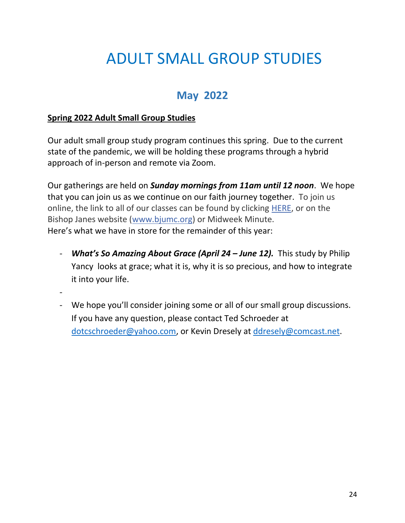# ADULT SMALL GROUP STUDIES

## **May 2022**

### **Spring 2022 Adult Small Group Studies**

Our adult small group study program continues this spring. Due to the current state of the pandemic, we will be holding these programs through a hybrid approach of in-person and remote via Zoom.

Our gatherings are held on *Sunday mornings from 11am until 12 noon*. We hope that you can join us as we continue on our faith journey together. To join us online, the link to all of our classes can be found by clicking [HERE,](https://r20.rs6.net/tn.jsp?f=001boll5hhlhdC84E8uMEE_DpRahcIHlSoKBOKW7MyunncByFXxaSoJewRTCDcGPr3FyscDGVlwNVXRpI31nizj40Jl0-cUO72b8Iuh3wkqxyyNbCy4OVz97l7END9iFfpnAA284dWcyZkNfCp3sc0ZwmGKwl6U1vf_0tMxxC2j7l1M_TtHiBgdKRLc0c3jIbDldA802g8zmMGDSAzF-lsMpklTHCpWQ8d_&c=FnOc5gK6Js_jAa76RMb__gQHrtqZZwhynDBgfBs7LZr-DQ3RCucF2Q==&ch=vCUNf3rR6MKhsWukfdvwETGqWd8j0j-eAeeuj8mIDrv_3ECi79a38w==) or on the Bishop Janes website [\(www.bjumc.org\)](http://www.bjumc.org/) or Midweek Minute. Here's what we have in store for the remainder of this year:

- *What's So Amazing About Grace (April 24 – June 12).* This study by Philip Yancy looks at grace; what it is, why it is so precious, and how to integrate it into your life.
- -
- We hope you'll consider joining some or all of our small group discussions. If you have any question, please contact Ted Schroeder at [dotcschroeder@yahoo.com,](mailto:dotcschroeder@yahoo.com) or Kevin Dresely at [ddresely@comcast.net.](mailto:ddresely@comcast.net)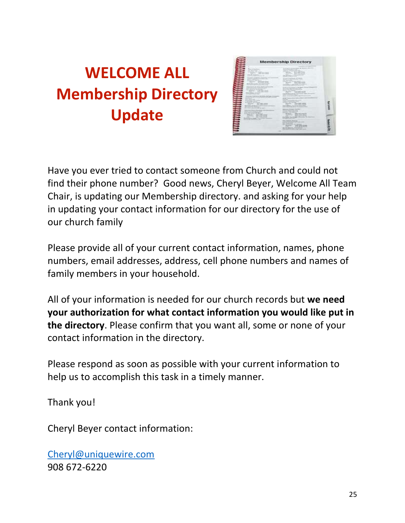# **WELCOME ALL Membership Directory Update**

| <b>Service Advised</b> | and the company's<br>of the first process.<br>dealership for<br>-------                                                                                                                                                                                                                                                                                                                                                                                                                                                                                                                                                                                                                                                                                           | <b>Contract Contract</b><br><b>CONTRACTOR</b><br>Committee Committee<br><br>and the company of the company<br>호바<br>Contractor and Contractor<br>and the property of the first<br>$-1$<br>and continues. It<br>and all the same in the<br><b>CONTRACTOR</b><br>and a contract of the contract<br>detailed who dealer advances in the                                                                                                                                                                                                                                                                                                                                                                                                                                                                                                                                                                                                                                                                                                                                                                                                            |  |
|------------------------|-------------------------------------------------------------------------------------------------------------------------------------------------------------------------------------------------------------------------------------------------------------------------------------------------------------------------------------------------------------------------------------------------------------------------------------------------------------------------------------------------------------------------------------------------------------------------------------------------------------------------------------------------------------------------------------------------------------------------------------------------------------------|-------------------------------------------------------------------------------------------------------------------------------------------------------------------------------------------------------------------------------------------------------------------------------------------------------------------------------------------------------------------------------------------------------------------------------------------------------------------------------------------------------------------------------------------------------------------------------------------------------------------------------------------------------------------------------------------------------------------------------------------------------------------------------------------------------------------------------------------------------------------------------------------------------------------------------------------------------------------------------------------------------------------------------------------------------------------------------------------------------------------------------------------------|--|
| ---                    | <b>Commercial de Strauss clas</b><br>Lost Contemporary La Fish Color<br>the committee and company of the<br>the procedure the compensation<br>come to be the first<br><b>Service Contractor Contractor</b><br>and selection distance states.<br>Sources Antique as decoded, Ne<br>Chinese the government of their<br>the product of the control of the<br>all continues the state and provided<br>and the company state and con-<br>Analysis and when Princess.<br>The control of the control and the<br><b>NEW PERSON</b><br>Barnistan two density to demonstrate and<br>able advanced developed the country of<br>Montreal Constitutional Auto<br>THE CONTRACT<br>and an expect that the problems of<br>Shipway - shed shall chines<br>Greener, with silk land. | and the state of the party of<br>$\frac{1}{2} \frac{1}{2} \frac{1}{2} \frac{1}{2} \frac{1}{2} \frac{1}{2} \frac{1}{2} \frac{1}{2} \frac{1}{2} \frac{1}{2} \frac{1}{2} \frac{1}{2} \frac{1}{2} \frac{1}{2} \frac{1}{2} \frac{1}{2} \frac{1}{2} \frac{1}{2} \frac{1}{2} \frac{1}{2} \frac{1}{2} \frac{1}{2} \frac{1}{2} \frac{1}{2} \frac{1}{2} \frac{1}{2} \frac{1}{2} \frac{1}{2} \frac{1}{2} \frac{1}{2} \frac{1}{2} \frac{$<br><b>Secretary of concerning</b><br>and considered the first product of the AT<br>and the first state of the con-<br>L. Boscali, Tella del Concerto del Mere<br><b>The Winner</b><br>three and children produced a child contact of a<br>Copyright Continued and Copyright Con-<br>the air comments as a factorial<br><b>Artist Communities</b><br>presented to control the<br><b>Service Contract Contract Contract</b><br>the party of the property state of the party<br>the party of the control of the<br>men internet<br>and testimony depend to the company.<br>the R. Commercials Advised Stratification of Colorado<br>the product of the product of the product of the<br><b>STATISTICS</b><br>ge, num |  |
|                        | and the control of the control of<br>Secretary trees throughout them<br>the first part of the control of                                                                                                                                                                                                                                                                                                                                                                                                                                                                                                                                                                                                                                                          | and the first street and<br>the first product service.<br>the state of the con-<br>the factory from the com-<br>the age of the local competition of the property<br>and printed out Assessed Chry<br>- Wranger - Exil \$300 from<br>Cheese Contract And All and<br>dealer desired and production.<br>the state of the control of the control of the                                                                                                                                                                                                                                                                                                                                                                                                                                                                                                                                                                                                                                                                                                                                                                                             |  |

Have you ever tried to contact someone from Church and could not find their phone number? Good news, Cheryl Beyer, Welcome All Team Chair, is updating our Membership directory. and asking for your help in updating your contact information for our directory for the use of our church family

Please provide all of your current contact information, names, phone numbers, email addresses, address, cell phone numbers and names of family members in your household.

All of your information is needed for our church records but **we need your authorization for what contact information you would like put in the directory**. Please confirm that you want all, some or none of your contact information in the directory.

Please respond as soon as possible with your current information to help us to accomplish this task in a timely manner.

Thank you!

Cheryl Beyer contact information:

[Cheryl@uniquewire.com](mailto:Cheryl@uniquewire.com) 908 672-6220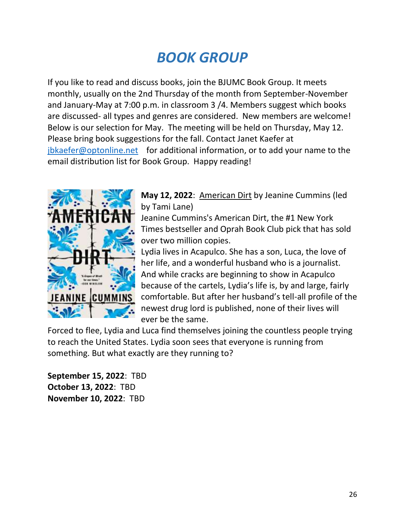# *BOOK GROUP*

If you like to read and discuss books, join the BJUMC Book Group. It meets monthly, usually on the 2nd Thursday of the month from September-November and January-May at 7:00 p.m. in classroom 3 /4. Members suggest which books are discussed- all types and genres are considered. New members are welcome! Below is our selection for May. The meeting will be held on Thursday, May 12. Please bring book suggestions for the fall. Contact Janet Kaefer at [jbkaefer@optonline.net](mailto:jbkaefer@optonline.net) for additional information, or to add your name to the email distribution list for Book Group. Happy reading!



**May 12, 2022**: American Dirt by Jeanine Cummins (led by Tami Lane)

Jeanine Cummins's American Dirt, the #1 New York Times bestseller and Oprah Book Club pick that has sold over two million copies.

Lydia lives in Acapulco. She has a son, Luca, the love of her life, and a wonderful husband who is a journalist. And while cracks are beginning to show in Acapulco because of the cartels, Lydia's life is, by and large, fairly comfortable. But after her husband's tell-all profile of the newest drug lord is published, none of their lives will ever be the same.

Forced to flee, Lydia and Luca find themselves joining the countless people trying to reach the United States. Lydia soon sees that everyone is running from something. But what exactly are they running to?

**September 15, 2022**: TBD **October 13, 2022**: TBD **November 10, 2022**: TBD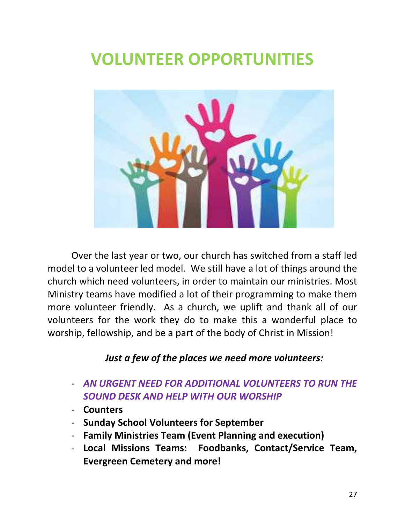# **VOLUNTEER OPPORTUNITIES**



Over the last year or two, our church has switched from a staff led model to a volunteer led model. We still have a lot of things around the church which need volunteers, in order to maintain our ministries. Most Ministry teams have modified a lot of their programming to make them more volunteer friendly. As a church, we uplift and thank all of our volunteers for the work they do to make this a wonderful place to worship, fellowship, and be a part of the body of Christ in Mission!

## *Just a few of the places we need more volunteers:*

- *AN URGENT NEED FOR ADDITIONAL VOLUNTEERS TO RUN THE SOUND DESK AND HELP WITH OUR WORSHIP*
- **Counters**
- **Sunday School Volunteers for September**
- **Family Ministries Team (Event Planning and execution)**
- **Local Missions Teams: Foodbanks, Contact/Service Team, Evergreen Cemetery and more!**